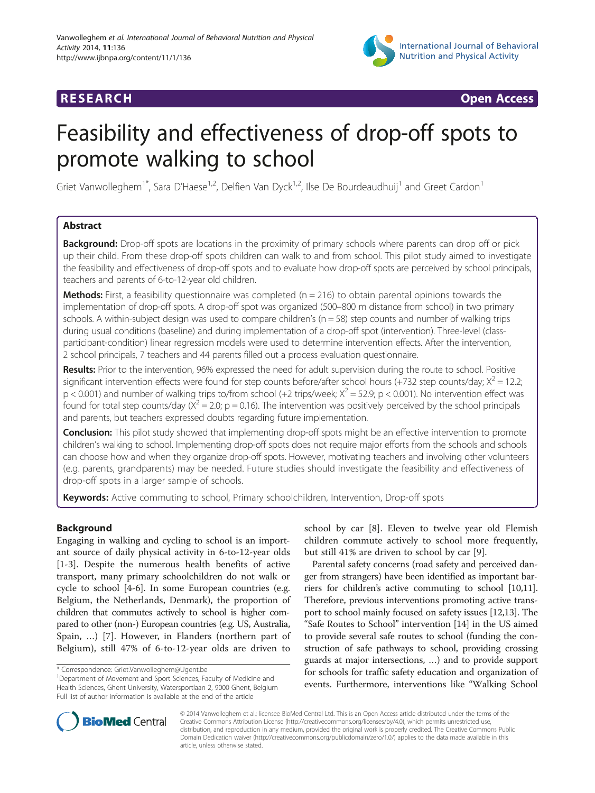



# Feasibility and effectiveness of drop-off spots to promote walking to school

Griet Vanwolleghem<sup>1\*</sup>, Sara D'Haese<sup>1,2</sup>, Delfien Van Dyck<sup>1,2</sup>, Ilse De Bourdeaudhuij<sup>1</sup> and Greet Cardon<sup>1</sup>

# Abstract

**Background:** Drop-off spots are locations in the proximity of primary schools where parents can drop off or pick up their child. From these drop-off spots children can walk to and from school. This pilot study aimed to investigate the feasibility and effectiveness of drop-off spots and to evaluate how drop-off spots are perceived by school principals, teachers and parents of 6-to-12-year old children.

**Methods:** First, a feasibility questionnaire was completed ( $n = 216$ ) to obtain parental opinions towards the implementation of drop-off spots. A drop-off spot was organized (500–800 m distance from school) in two primary schools. A within-subject design was used to compare children's  $(n = 58)$  step counts and number of walking trips during usual conditions (baseline) and during implementation of a drop-off spot (intervention). Three-level (classparticipant-condition) linear regression models were used to determine intervention effects. After the intervention, 2 school principals, 7 teachers and 44 parents filled out a process evaluation questionnaire.

Results: Prior to the intervention, 96% expressed the need for adult supervision during the route to school. Positive significant intervention effects were found for step counts before/after school hours (+732 step counts/day;  $X^2 = 12.2$ ;  $p < 0.001$ ) and number of walking trips to/from school (+2 trips/week;  $X^2 = 52.9$ ; p < 0.001). No intervention effect was found for total step counts/day ( $X^2 = 2.0$ ; p = 0.16). The intervention was positively perceived by the school principals and parents, but teachers expressed doubts regarding future implementation.

Conclusion: This pilot study showed that implementing drop-off spots might be an effective intervention to promote children's walking to school. Implementing drop-off spots does not require major efforts from the schools and schools can choose how and when they organize drop-off spots. However, motivating teachers and involving other volunteers (e.g. parents, grandparents) may be needed. Future studies should investigate the feasibility and effectiveness of drop-off spots in a larger sample of schools.

Keywords: Active commuting to school, Primary schoolchildren, Intervention, Drop-off spots

# Background

Engaging in walking and cycling to school is an important source of daily physical activity in 6-to-12-year olds [[1-3](#page-9-0)]. Despite the numerous health benefits of active transport, many primary schoolchildren do not walk or cycle to school [\[4](#page-9-0)-[6\]](#page-9-0). In some European countries (e.g. Belgium, the Netherlands, Denmark), the proportion of children that commutes actively to school is higher compared to other (non-) European countries (e.g. US, Australia, Spain, …) [[7\]](#page-9-0). However, in Flanders (northern part of Belgium), still 47% of 6-to-12-year olds are driven to

school by car [\[8](#page-9-0)]. Eleven to twelve year old Flemish children commute actively to school more frequently, but still 41% are driven to school by car [\[9](#page-9-0)].

Parental safety concerns (road safety and perceived danger from strangers) have been identified as important barriers for children's active commuting to school [\[10,11](#page-9-0)]. Therefore, previous interventions promoting active transport to school mainly focused on safety issues [\[12,13\]](#page-9-0). The "Safe Routes to School" intervention [\[14\]](#page-9-0) in the US aimed to provide several safe routes to school (funding the construction of safe pathways to school, providing crossing guards at major intersections, …) and to provide support for schools for traffic safety education and organization of events. Furthermore, interventions like "Walking School



© 2014 Vanwolleghem et al.; licensee BioMed Central Ltd. This is an Open Access article distributed under the terms of the Creative Commons Attribution License (<http://creativecommons.org/licenses/by/4.0>), which permits unrestricted use, distribution, and reproduction in any medium, provided the original work is properly credited. The Creative Commons Public Domain Dedication waiver [\(http://creativecommons.org/publicdomain/zero/1.0/\)](http://creativecommons.org/publicdomain/zero/1.0/) applies to the data made available in this article, unless otherwise stated.

<sup>\*</sup> Correspondence: [Griet.Vanwolleghem@Ugent.be](mailto:Griet.Vanwolleghem@Ugent.be) <sup>1</sup>

<sup>&</sup>lt;sup>1</sup>Department of Movement and Sport Sciences, Faculty of Medicine and Health Sciences, Ghent University, Watersportlaan 2, 9000 Ghent, Belgium Full list of author information is available at the end of the article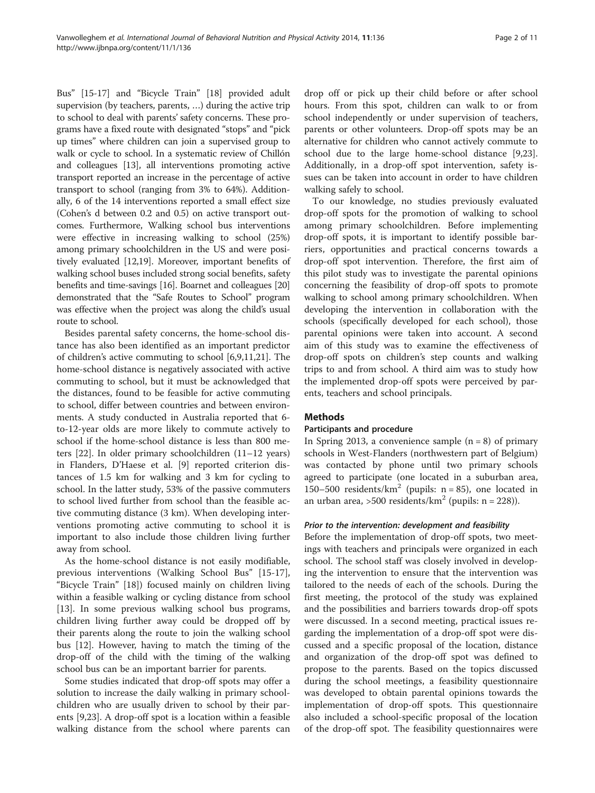Bus" [\[15-17\]](#page-9-0) and "Bicycle Train" [[18](#page-9-0)] provided adult supervision (by teachers, parents, …) during the active trip to school to deal with parents' safety concerns. These programs have a fixed route with designated "stops" and "pick up times" where children can join a supervised group to walk or cycle to school. In a systematic review of Chillón and colleagues [\[13\]](#page-9-0), all interventions promoting active transport reported an increase in the percentage of active transport to school (ranging from 3% to 64%). Additionally, 6 of the 14 interventions reported a small effect size (Cohen's d between 0.2 and 0.5) on active transport outcomes. Furthermore, Walking school bus interventions were effective in increasing walking to school (25%) among primary schoolchildren in the US and were positively evaluated [\[12,19](#page-9-0)]. Moreover, important benefits of walking school buses included strong social benefits, safety benefits and time-savings [[16](#page-9-0)]. Boarnet and colleagues [\[20](#page-9-0)] demonstrated that the "Safe Routes to School" program was effective when the project was along the child's usual route to school.

Besides parental safety concerns, the home-school distance has also been identified as an important predictor of children's active commuting to school [\[6,9,11,21\]](#page-9-0). The home-school distance is negatively associated with active commuting to school, but it must be acknowledged that the distances, found to be feasible for active commuting to school, differ between countries and between environments. A study conducted in Australia reported that 6 to-12-year olds are more likely to commute actively to school if the home-school distance is less than 800 meters [[22](#page-9-0)]. In older primary schoolchildren (11–12 years) in Flanders, D'Haese et al. [[9](#page-9-0)] reported criterion distances of 1.5 km for walking and 3 km for cycling to school. In the latter study, 53% of the passive commuters to school lived further from school than the feasible active commuting distance (3 km). When developing interventions promoting active commuting to school it is important to also include those children living further away from school.

As the home-school distance is not easily modifiable, previous interventions (Walking School Bus" [\[15-17](#page-9-0)], "Bicycle Train" [[18\]](#page-9-0)) focused mainly on children living within a feasible walking or cycling distance from school [[13\]](#page-9-0). In some previous walking school bus programs, children living further away could be dropped off by their parents along the route to join the walking school bus [[12\]](#page-9-0). However, having to match the timing of the drop-off of the child with the timing of the walking school bus can be an important barrier for parents.

Some studies indicated that drop-off spots may offer a solution to increase the daily walking in primary schoolchildren who are usually driven to school by their parents [[9,23\]](#page-9-0). A drop-off spot is a location within a feasible walking distance from the school where parents can

drop off or pick up their child before or after school hours. From this spot, children can walk to or from school independently or under supervision of teachers, parents or other volunteers. Drop-off spots may be an alternative for children who cannot actively commute to school due to the large home-school distance [\[9,23](#page-9-0)]. Additionally, in a drop-off spot intervention, safety issues can be taken into account in order to have children walking safely to school.

To our knowledge, no studies previously evaluated drop-off spots for the promotion of walking to school among primary schoolchildren. Before implementing drop-off spots, it is important to identify possible barriers, opportunities and practical concerns towards a drop-off spot intervention. Therefore, the first aim of this pilot study was to investigate the parental opinions concerning the feasibility of drop-off spots to promote walking to school among primary schoolchildren. When developing the intervention in collaboration with the schools (specifically developed for each school), those parental opinions were taken into account. A second aim of this study was to examine the effectiveness of drop-off spots on children's step counts and walking trips to and from school. A third aim was to study how the implemented drop-off spots were perceived by parents, teachers and school principals.

# Methods

# Participants and procedure

In Spring 2013, a convenience sample  $(n = 8)$  of primary schools in West-Flanders (northwestern part of Belgium) was contacted by phone until two primary schools agreed to participate (one located in a suburban area, 150–500 residents/km<sup>2</sup> (pupils:  $n = 85$ ), one located in an urban area, >500 residents/km<sup>2</sup> (pupils:  $n = 228$ )).

# Prior to the intervention: development and feasibility

Before the implementation of drop-off spots, two meetings with teachers and principals were organized in each school. The school staff was closely involved in developing the intervention to ensure that the intervention was tailored to the needs of each of the schools. During the first meeting, the protocol of the study was explained and the possibilities and barriers towards drop-off spots were discussed. In a second meeting, practical issues regarding the implementation of a drop-off spot were discussed and a specific proposal of the location, distance and organization of the drop-off spot was defined to propose to the parents. Based on the topics discussed during the school meetings, a feasibility questionnaire was developed to obtain parental opinions towards the implementation of drop-off spots. This questionnaire also included a school-specific proposal of the location of the drop-off spot. The feasibility questionnaires were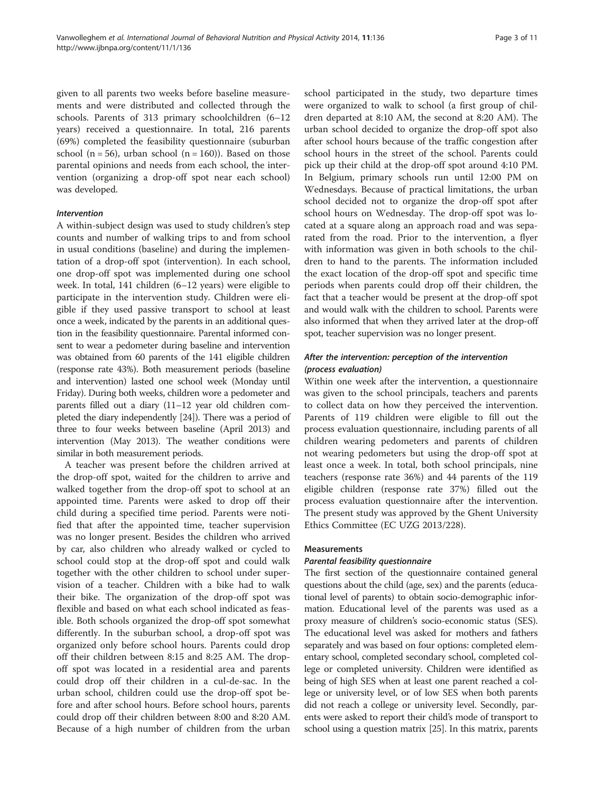given to all parents two weeks before baseline measurements and were distributed and collected through the schools. Parents of 313 primary schoolchildren (6–12 years) received a questionnaire. In total, 216 parents (69%) completed the feasibility questionnaire (suburban school (n = 56), urban school (n = 160)). Based on those parental opinions and needs from each school, the intervention (organizing a drop-off spot near each school) was developed.

#### Intervention

A within-subject design was used to study children's step counts and number of walking trips to and from school in usual conditions (baseline) and during the implementation of a drop-off spot (intervention). In each school, one drop-off spot was implemented during one school week. In total, 141 children (6–12 years) were eligible to participate in the intervention study. Children were eligible if they used passive transport to school at least once a week, indicated by the parents in an additional question in the feasibility questionnaire. Parental informed consent to wear a pedometer during baseline and intervention was obtained from 60 parents of the 141 eligible children (response rate 43%). Both measurement periods (baseline and intervention) lasted one school week (Monday until Friday). During both weeks, children wore a pedometer and parents filled out a diary (11–12 year old children completed the diary independently [[24](#page-10-0)]). There was a period of three to four weeks between baseline (April 2013) and intervention (May 2013). The weather conditions were similar in both measurement periods.

A teacher was present before the children arrived at the drop-off spot, waited for the children to arrive and walked together from the drop-off spot to school at an appointed time. Parents were asked to drop off their child during a specified time period. Parents were notified that after the appointed time, teacher supervision was no longer present. Besides the children who arrived by car, also children who already walked or cycled to school could stop at the drop-off spot and could walk together with the other children to school under supervision of a teacher. Children with a bike had to walk their bike. The organization of the drop-off spot was flexible and based on what each school indicated as feasible. Both schools organized the drop-off spot somewhat differently. In the suburban school, a drop-off spot was organized only before school hours. Parents could drop off their children between 8:15 and 8:25 AM. The dropoff spot was located in a residential area and parents could drop off their children in a cul-de-sac. In the urban school, children could use the drop-off spot before and after school hours. Before school hours, parents could drop off their children between 8:00 and 8:20 AM. Because of a high number of children from the urban school participated in the study, two departure times were organized to walk to school (a first group of children departed at 8:10 AM, the second at 8:20 AM). The urban school decided to organize the drop-off spot also after school hours because of the traffic congestion after school hours in the street of the school. Parents could pick up their child at the drop-off spot around 4:10 PM. In Belgium, primary schools run until 12:00 PM on Wednesdays. Because of practical limitations, the urban school decided not to organize the drop-off spot after school hours on Wednesday. The drop-off spot was located at a square along an approach road and was separated from the road. Prior to the intervention, a flyer with information was given in both schools to the children to hand to the parents. The information included the exact location of the drop-off spot and specific time periods when parents could drop off their children, the fact that a teacher would be present at the drop-off spot and would walk with the children to school. Parents were also informed that when they arrived later at the drop-off spot, teacher supervision was no longer present.

# After the intervention: perception of the intervention (process evaluation)

Within one week after the intervention, a questionnaire was given to the school principals, teachers and parents to collect data on how they perceived the intervention. Parents of 119 children were eligible to fill out the process evaluation questionnaire, including parents of all children wearing pedometers and parents of children not wearing pedometers but using the drop-off spot at least once a week. In total, both school principals, nine teachers (response rate 36%) and 44 parents of the 119 eligible children (response rate 37%) filled out the process evaluation questionnaire after the intervention. The present study was approved by the Ghent University Ethics Committee (EC UZG 2013/228).

#### Measurements

# Parental feasibility questionnaire

The first section of the questionnaire contained general questions about the child (age, sex) and the parents (educational level of parents) to obtain socio-demographic information. Educational level of the parents was used as a proxy measure of children's socio-economic status (SES). The educational level was asked for mothers and fathers separately and was based on four options: completed elementary school, completed secondary school, completed college or completed university. Children were identified as being of high SES when at least one parent reached a college or university level, or of low SES when both parents did not reach a college or university level. Secondly, parents were asked to report their child's mode of transport to school using a question matrix [[25](#page-10-0)]. In this matrix, parents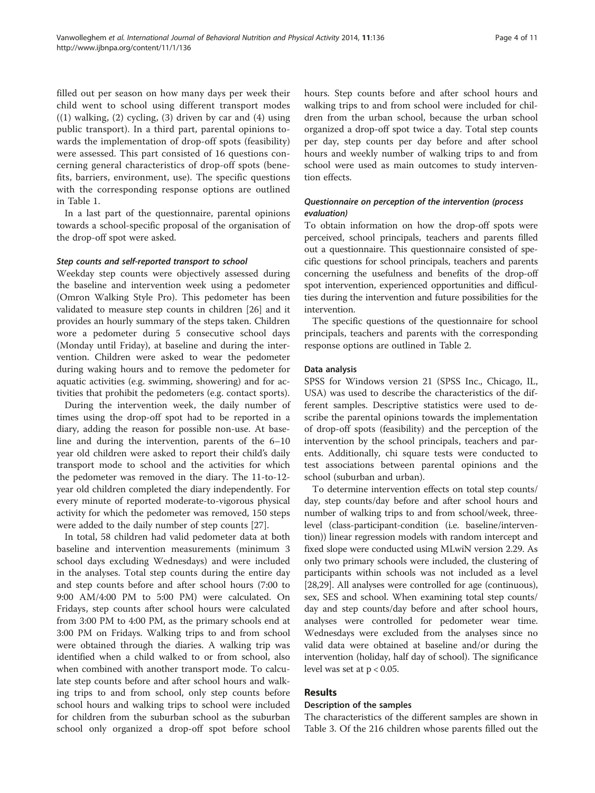filled out per season on how many days per week their child went to school using different transport modes ((1) walking, (2) cycling, (3) driven by car and (4) using public transport). In a third part, parental opinions towards the implementation of drop-off spots (feasibility) were assessed. This part consisted of 16 questions concerning general characteristics of drop-off spots (benefits, barriers, environment, use). The specific questions with the corresponding response options are outlined in Table [1](#page-4-0).

In a last part of the questionnaire, parental opinions towards a school-specific proposal of the organisation of the drop-off spot were asked.

#### Step counts and self-reported transport to school

Weekday step counts were objectively assessed during the baseline and intervention week using a pedometer (Omron Walking Style Pro). This pedometer has been validated to measure step counts in children [[26](#page-10-0)] and it provides an hourly summary of the steps taken. Children wore a pedometer during 5 consecutive school days (Monday until Friday), at baseline and during the intervention. Children were asked to wear the pedometer during waking hours and to remove the pedometer for aquatic activities (e.g. swimming, showering) and for activities that prohibit the pedometers (e.g. contact sports).

During the intervention week, the daily number of times using the drop-off spot had to be reported in a diary, adding the reason for possible non-use. At baseline and during the intervention, parents of the 6–10 year old children were asked to report their child's daily transport mode to school and the activities for which the pedometer was removed in the diary. The 11-to-12 year old children completed the diary independently. For every minute of reported moderate-to-vigorous physical activity for which the pedometer was removed, 150 steps were added to the daily number of step counts [\[27](#page-10-0)].

In total, 58 children had valid pedometer data at both baseline and intervention measurements (minimum 3 school days excluding Wednesdays) and were included in the analyses. Total step counts during the entire day and step counts before and after school hours (7:00 to 9:00 AM/4:00 PM to 5:00 PM) were calculated. On Fridays, step counts after school hours were calculated from 3:00 PM to 4:00 PM, as the primary schools end at 3:00 PM on Fridays. Walking trips to and from school were obtained through the diaries. A walking trip was identified when a child walked to or from school, also when combined with another transport mode. To calculate step counts before and after school hours and walking trips to and from school, only step counts before school hours and walking trips to school were included for children from the suburban school as the suburban school only organized a drop-off spot before school hours. Step counts before and after school hours and walking trips to and from school were included for children from the urban school, because the urban school organized a drop-off spot twice a day. Total step counts per day, step counts per day before and after school hours and weekly number of walking trips to and from school were used as main outcomes to study intervention effects.

# Questionnaire on perception of the intervention (process evaluation)

To obtain information on how the drop-off spots were perceived, school principals, teachers and parents filled out a questionnaire. This questionnaire consisted of specific questions for school principals, teachers and parents concerning the usefulness and benefits of the drop-off spot intervention, experienced opportunities and difficulties during the intervention and future possibilities for the intervention.

The specific questions of the questionnaire for school principals, teachers and parents with the corresponding response options are outlined in Table [2.](#page-5-0)

#### Data analysis

SPSS for Windows version 21 (SPSS Inc., Chicago, IL, USA) was used to describe the characteristics of the different samples. Descriptive statistics were used to describe the parental opinions towards the implementation of drop-off spots (feasibility) and the perception of the intervention by the school principals, teachers and parents. Additionally, chi square tests were conducted to test associations between parental opinions and the school (suburban and urban).

To determine intervention effects on total step counts/ day, step counts/day before and after school hours and number of walking trips to and from school/week, threelevel (class-participant-condition (i.e. baseline/intervention)) linear regression models with random intercept and fixed slope were conducted using MLwiN version 2.29. As only two primary schools were included, the clustering of participants within schools was not included as a level [[28](#page-10-0),[29](#page-10-0)]. All analyses were controlled for age (continuous), sex, SES and school. When examining total step counts/ day and step counts/day before and after school hours, analyses were controlled for pedometer wear time. Wednesdays were excluded from the analyses since no valid data were obtained at baseline and/or during the intervention (holiday, half day of school). The significance level was set at  $p < 0.05$ .

#### Results

#### Description of the samples

The characteristics of the different samples are shown in Table [3.](#page-6-0) Of the 216 children whose parents filled out the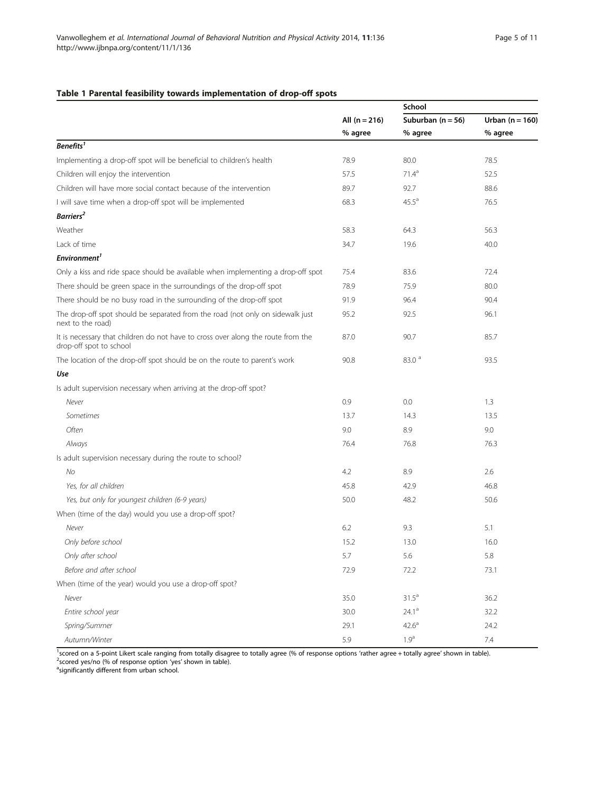# <span id="page-4-0"></span>Table 1 Parental feasibility towards implementation of drop-off spots

|                                                                                                             |                            | School                | Urban ( $n = 160$ ) |
|-------------------------------------------------------------------------------------------------------------|----------------------------|-----------------------|---------------------|
|                                                                                                             | All $(n = 216)$<br>% agree | Suburban ( $n = 56$ ) |                     |
|                                                                                                             |                            | % agree               | % agree             |
| Benefits <sup>1</sup>                                                                                       |                            |                       |                     |
| Implementing a drop-off spot will be beneficial to children's health                                        | 78.9                       | 80.0                  | 78.5                |
| Children will enjoy the intervention                                                                        | 57.5                       | 71.4 <sup>a</sup>     | 52.5                |
| Children will have more social contact because of the intervention                                          | 89.7                       | 92.7                  | 88.6                |
| I will save time when a drop-off spot will be implemented                                                   | 68.3                       | $45.5^{\circ}$        | 76.5                |
| Barriers <sup>2</sup>                                                                                       |                            |                       |                     |
| Weather                                                                                                     | 58.3                       | 64.3                  | 56.3                |
| Lack of time                                                                                                | 34.7                       | 19.6                  | 40.0                |
| Environment <sup>1</sup>                                                                                    |                            |                       |                     |
| Only a kiss and ride space should be available when implementing a drop-off spot                            | 75.4                       | 83.6                  | 72.4                |
| There should be green space in the surroundings of the drop-off spot                                        | 78.9                       | 75.9                  | 80.0                |
| There should be no busy road in the surrounding of the drop-off spot                                        | 91.9                       | 96.4                  | 90.4                |
| The drop-off spot should be separated from the road (not only on sidewalk just<br>next to the road)         | 95.2                       | 92.5                  | 96.1                |
| It is necessary that children do not have to cross over along the route from the<br>drop-off spot to school | 87.0                       | 90.7                  | 85.7                |
| The location of the drop-off spot should be on the route to parent's work                                   | 90.8                       | 83.0 <sup>a</sup>     | 93.5                |
| Use                                                                                                         |                            |                       |                     |
| Is adult supervision necessary when arriving at the drop-off spot?                                          |                            |                       |                     |
| Never                                                                                                       | 0.9                        | 0.0                   | 1.3                 |
| Sometimes                                                                                                   | 13.7                       | 14.3                  | 13.5                |
| Often                                                                                                       | 9.0                        | 8.9                   | 9.0                 |
| Always                                                                                                      | 76.4                       | 76.8                  | 76.3                |
| Is adult supervision necessary during the route to school?                                                  |                            |                       |                     |
| No.                                                                                                         | 4.2                        | 8.9                   | 2.6                 |
| Yes, for all children                                                                                       | 45.8                       | 42.9                  | 46.8                |
| Yes, but only for youngest children (6-9 years)                                                             | 50.0                       | 48.2                  | 50.6                |
| When (time of the day) would you use a drop-off spot?                                                       |                            |                       |                     |
| Never                                                                                                       | 6.2                        | 9.3                   | 5.1                 |
| Only before school                                                                                          | 15.2                       | 13.0                  | 16.0                |
| Only after school                                                                                           | 5.7                        | 5.6                   | 5.8                 |
| Before and after school                                                                                     | 72.9                       | 72.2                  | 73.1                |
| When (time of the year) would you use a drop-off spot?                                                      |                            |                       |                     |
| Never                                                                                                       | 35.0                       | $31.5^{\rm a}$        | 36.2                |
| Entire school year                                                                                          | 30.0                       | $24.1^a$              | 32.2                |
| Spring/Summer                                                                                               | 29.1                       | $42.6^{\circ}$        | 24.2                |
| Autumn/Winter                                                                                               | 5.9                        | 1.9 <sup>a</sup>      | $7.4\,$             |
|                                                                                                             |                            |                       |                     |

<sup>1</sup>scored on a 5-point Likert scale ranging from totally disagree to totally agree (% of response options 'rather agree + totally agree' shown in table).<br><sup>2</sup>scored ves/no.(% of response option 'ves' shown in table)

<sup>2</sup>scored yes/no (% of response option 'yes' shown in table).<br><sup>a</sup>significantly different from urban school.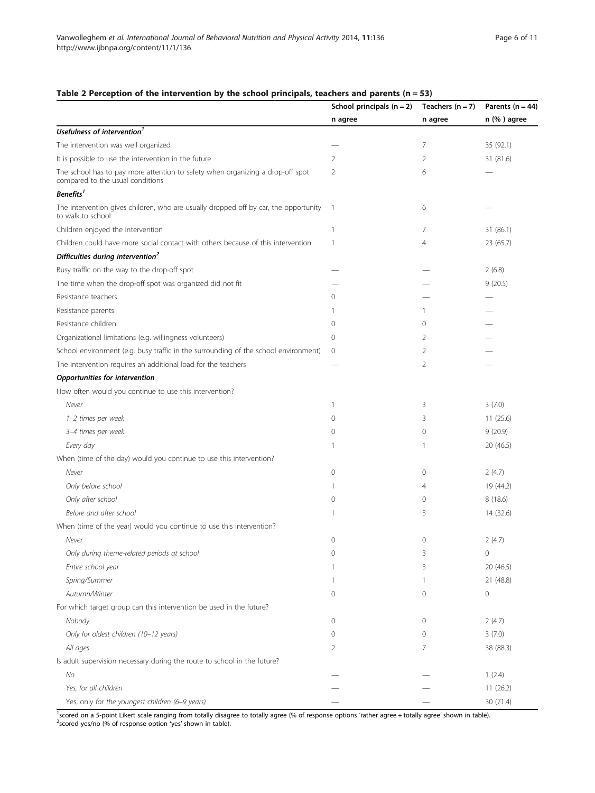# <span id="page-5-0"></span>Table 2 Perception of the intervention by the school principals, teachers and parents ( $n = 53$ )

|                                                                                                                    | School principals $(n = 2)$ | Teachers $(n = 7)$ | Parents $(n = 44)$ |
|--------------------------------------------------------------------------------------------------------------------|-----------------------------|--------------------|--------------------|
|                                                                                                                    | n agree                     | n agree            | $n$ $%$ ) agree    |
| Usefulness of intervention <sup>1</sup>                                                                            |                             |                    |                    |
| The intervention was well organized                                                                                |                             | 7                  | 35 (92.1)          |
| It is possible to use the intervention in the future                                                               | 2                           | 2                  | 31 (81.6)          |
| The school has to pay more attention to safety when organizing a drop-off spot<br>compared to the usual conditions | 2                           | 6                  |                    |
| Benefits <sup>1</sup>                                                                                              |                             |                    |                    |
| The intervention gives children, who are usually dropped off by car, the opportunity<br>to walk to school          | $\overline{1}$              | 6                  |                    |
| Children enjoyed the intervention                                                                                  | 1                           | 7                  | 31 (86.1)          |
| Children could have more social contact with others because of this intervention                                   | 1                           | 4                  | 23 (65.7)          |
| Difficulties during intervention <sup>2</sup>                                                                      |                             |                    |                    |
| Busy traffic on the way to the drop-off spot                                                                       |                             |                    | 2(6.8)             |
| The time when the drop-off spot was organized did not fit                                                          |                             |                    | 9(20.5)            |
| Resistance teachers                                                                                                | 0                           |                    |                    |
| Resistance parents                                                                                                 |                             |                    |                    |
| Resistance children                                                                                                | 0                           | 0                  |                    |
| Organizational limitations (e.g. willingness volunteers)                                                           | 0                           | 2                  |                    |
| School environment (e.g. busy traffic in the surrounding of the school environment)                                | $\mathbf{0}$                | 2                  |                    |
| The intervention requires an additional load for the teachers                                                      |                             | 2                  |                    |
| Opportunities for intervention                                                                                     |                             |                    |                    |
| How often would you continue to use this intervention?                                                             |                             |                    |                    |
| Never                                                                                                              | 1                           | 3                  | 3(7.0)             |
| 1-2 times per week                                                                                                 | $\Omega$                    | 3                  | 11(25.6)           |
| 3–4 times per week                                                                                                 | 0                           | 0                  | 9(20.9)            |
| Every day                                                                                                          |                             |                    | 20 (46.5)          |
| When (time of the day) would you continue to use this intervention?                                                |                             |                    |                    |
| Never                                                                                                              | 0                           | 0                  | 2(4.7)             |
| Only before school                                                                                                 | 1                           | 4                  | 19 (44.2)          |
| Only after school                                                                                                  | 0                           | 0                  | 8(18.6)            |
| Before and after school                                                                                            | 1                           | 3                  | 14 (32.6)          |
| When (time of the year) would you continue to use this intervention?                                               |                             |                    |                    |
| Never                                                                                                              | 0                           | 0                  | 2(4.7)             |
| Only during theme-related periods at school                                                                        | $\mathbf 0$                 | 3                  | $\mathbf 0$        |
| Entire school year                                                                                                 |                             | 3                  | 20 (46.5)          |
| Spring/Summer                                                                                                      | 1                           |                    | 21 (48.8)          |
| Autumn/Winter                                                                                                      | 0                           | $\mathbf{0}$       | $\mathbf 0$        |
| For which target group can this intervention be used in the future?                                                |                             |                    |                    |
| Nobody                                                                                                             | 0                           | $\mathbf{0}$       | 2(4.7)             |
| Only for oldest children (10-12 years)                                                                             | 0                           | $\mathbf{0}$       | 3(7.0)             |
| All ages                                                                                                           | 2                           | 7                  | 38 (88.3)          |
| Is adult supervision necessary during the route to school in the future?                                           |                             |                    |                    |
| No                                                                                                                 |                             |                    | 1(2.4)             |
| Yes, for all children                                                                                              |                             |                    | 11(26.2)           |
| Yes, only for the youngest children (6-9 years)                                                                    |                             |                    | 30 (71.4)          |

<sup>1</sup>scored on a 5-point Likert scale ranging from totally disagree to totally agree (% of response options 'rather agree + totally agree' shown in table).<br><sup>2</sup>scored yes/no (% of response option 'yes' shown in table).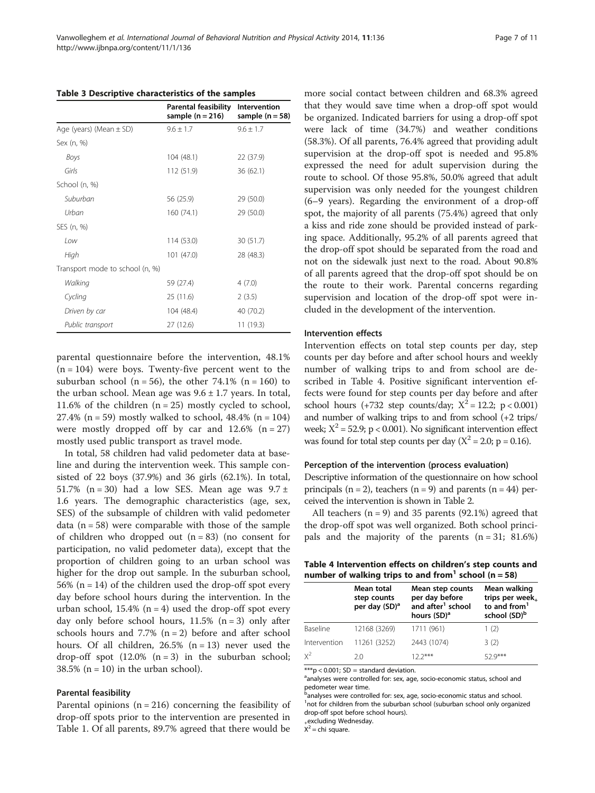<span id="page-6-0"></span>

| Table 3 Descriptive characteristics of the samples |  |  |
|----------------------------------------------------|--|--|
|----------------------------------------------------|--|--|

|                                 | Parental feasibility<br>sample $(n = 216)$ | Intervention<br>sample $(n = 58)$ |
|---------------------------------|--------------------------------------------|-----------------------------------|
| Age (years) (Mean $\pm$ SD)     | $9.6 + 1.7$                                | $9.6 + 1.7$                       |
| Sex (n, %)                      |                                            |                                   |
| Boys                            | 104 (48.1)                                 | 22 (37.9)                         |
| Girls                           | 112 (51.9)                                 | 36(62.1)                          |
| School (n, %)                   |                                            |                                   |
| Suburban                        | 56 (25.9)                                  | 29 (50.0)                         |
| Urban                           | 160 (74.1)                                 | 29 (50.0)                         |
| SES (n, %)                      |                                            |                                   |
| Tow                             | 114 (53.0)                                 | 30 (51.7)                         |
| High                            | 101(47.0)                                  | 28 (48.3)                         |
| Transport mode to school (n, %) |                                            |                                   |
| Walking                         | 59 (27.4)                                  | 4(7.0)                            |
| Cycling                         | 25(11.6)                                   | 2(3.5)                            |
| Driven by car                   | 104 (48.4)                                 | 40 (70.2)                         |
| Public transport                | 27 (12.6)                                  | 11 (19.3)                         |

parental questionnaire before the intervention, 48.1%  $(n = 104)$  were boys. Twenty-five percent went to the suburban school (n = 56), the other  $74.1\%$  (n = 160) to the urban school. Mean age was  $9.6 \pm 1.7$  years. In total, 11.6% of the children  $(n = 25)$  mostly cycled to school, 27.4% (n = 59) mostly walked to school, 48.4% (n = 104) were mostly dropped off by car and  $12.6\%$  (n = 27) mostly used public transport as travel mode.

In total, 58 children had valid pedometer data at baseline and during the intervention week. This sample consisted of 22 boys (37.9%) and 36 girls (62.1%). In total, 51.7% (n = 30) had a low SES. Mean age was  $9.7 \pm$ 1.6 years. The demographic characteristics (age, sex, SES) of the subsample of children with valid pedometer data  $(n = 58)$  were comparable with those of the sample of children who dropped out  $(n = 83)$  (no consent for participation, no valid pedometer data), except that the proportion of children going to an urban school was higher for the drop out sample. In the suburban school, 56% ( $n = 14$ ) of the children used the drop-off spot every day before school hours during the intervention. In the urban school,  $15.4\%$  (n = 4) used the drop-off spot every day only before school hours,  $11.5\%$  (n = 3) only after schools hours and 7.7%  $(n = 2)$  before and after school hours. Of all children,  $26.5\%$  (n = 13) never used the drop-off spot  $(12.0\% \text{ (n = 3)} \text{ in the suburban school};$ 38.5% ( $n = 10$ ) in the urban school).

#### Parental feasibility

Parental opinions  $(n = 216)$  concerning the feasibility of drop-off spots prior to the intervention are presented in Table [1.](#page-4-0) Of all parents, 89.7% agreed that there would be

more social contact between children and 68.3% agreed that they would save time when a drop-off spot would be organized. Indicated barriers for using a drop-off spot were lack of time (34.7%) and weather conditions (58.3%). Of all parents, 76.4% agreed that providing adult supervision at the drop-off spot is needed and 95.8% expressed the need for adult supervision during the route to school. Of those 95.8%, 50.0% agreed that adult supervision was only needed for the youngest children (6–9 years). Regarding the environment of a drop-off spot, the majority of all parents (75.4%) agreed that only a kiss and ride zone should be provided instead of parking space. Additionally, 95.2% of all parents agreed that the drop-off spot should be separated from the road and not on the sidewalk just next to the road. About 90.8% of all parents agreed that the drop-off spot should be on the route to their work. Parental concerns regarding supervision and location of the drop-off spot were included in the development of the intervention.

# Intervention effects

Intervention effects on total step counts per day, step counts per day before and after school hours and weekly number of walking trips to and from school are described in Table 4. Positive significant intervention effects were found for step counts per day before and after school hours (+732 step counts/day;  $X^2 = 12.2$ ; p < 0.001) and number of walking trips to and from school (+2 trips/ week;  $X^2 = 52.9$ ; p < 0.001). No significant intervention effect was found for total step counts per day  $(X^2 = 2.0; p = 0.16)$ .

#### Perception of the intervention (process evaluation)

Descriptive information of the questionnaire on how school principals  $(n = 2)$ , teachers  $(n = 9)$  and parents  $(n = 44)$  perceived the intervention is shown in Table [2.](#page-5-0)

All teachers  $(n = 9)$  and 35 parents (92.1%) agreed that the drop-off spot was well organized. Both school principals and the majority of the parents  $(n = 31; 81.6%)$ 

Table 4 Intervention effects on children's step counts and number of walking trips to and from  $^1$  school (n = 58)

|                 | Mean total<br>step counts<br>per day (SD) <sup>a</sup> | Mean step counts<br>per day before<br>and after <sup>1</sup> school<br>hours (SD) <sup>a</sup> | Mean walking<br>trips per week.<br>to and from <sup>1</sup><br>school (SD) <sup>b</sup> |  |
|-----------------|--------------------------------------------------------|------------------------------------------------------------------------------------------------|-----------------------------------------------------------------------------------------|--|
| <b>Baseline</b> | 12168 (3269)                                           | 1711 (961)                                                                                     | 1(2)                                                                                    |  |
| Intervention    | 11261 (3252)                                           | 2443 (1074)                                                                                    | 3(2)                                                                                    |  |
| $x^2$           | 20                                                     | $12.2***$                                                                                      |                                                                                         |  |

 $\sqrt{***p}$  < 0.001; SD = standard deviation.

<sup>a</sup>analyses were controlled for: sex, age, socio-economic status, school and pedometer wear time.

b<br>analyses were controlled for: sex, age, socio-economic status and school. <sup>1</sup>not for children from the suburban school (suburban school only organized drop-off spot before school hours).

+excluding Wednesday.

 $X^2$  = chi square.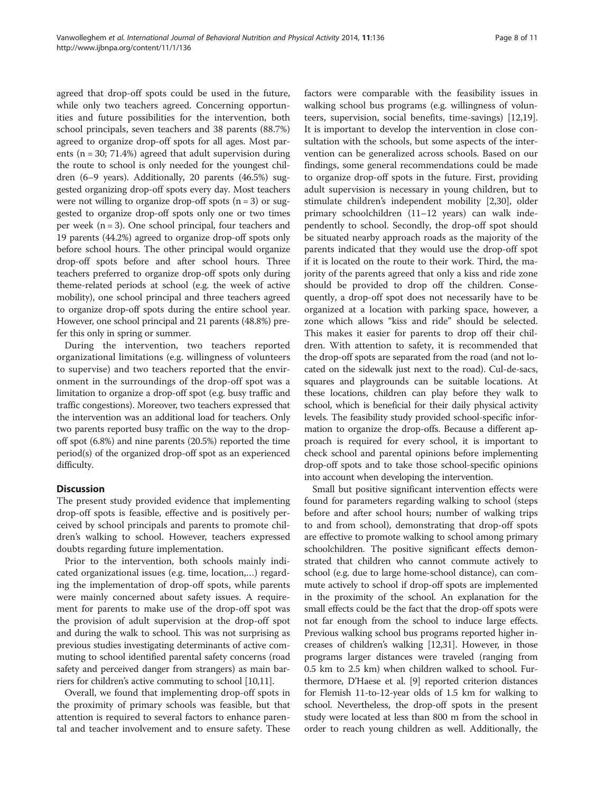agreed that drop-off spots could be used in the future, while only two teachers agreed. Concerning opportunities and future possibilities for the intervention, both school principals, seven teachers and 38 parents (88.7%) agreed to organize drop-off spots for all ages. Most parents ( $n = 30$ ; 71.4%) agreed that adult supervision during the route to school is only needed for the youngest children (6–9 years). Additionally, 20 parents (46.5%) suggested organizing drop-off spots every day. Most teachers were not willing to organize drop-off spots  $(n = 3)$  or suggested to organize drop-off spots only one or two times per week  $(n = 3)$ . One school principal, four teachers and 19 parents (44.2%) agreed to organize drop-off spots only before school hours. The other principal would organize drop-off spots before and after school hours. Three teachers preferred to organize drop-off spots only during theme-related periods at school (e.g. the week of active mobility), one school principal and three teachers agreed to organize drop-off spots during the entire school year. However, one school principal and 21 parents (48.8%) prefer this only in spring or summer.

During the intervention, two teachers reported organizational limitations (e.g. willingness of volunteers to supervise) and two teachers reported that the environment in the surroundings of the drop-off spot was a limitation to organize a drop-off spot (e.g. busy traffic and traffic congestions). Moreover, two teachers expressed that the intervention was an additional load for teachers. Only two parents reported busy traffic on the way to the dropoff spot (6.8%) and nine parents (20.5%) reported the time period(s) of the organized drop-off spot as an experienced difficulty.

# **Discussion**

The present study provided evidence that implementing drop-off spots is feasible, effective and is positively perceived by school principals and parents to promote children's walking to school. However, teachers expressed doubts regarding future implementation.

Prior to the intervention, both schools mainly indicated organizational issues (e.g. time, location,…) regarding the implementation of drop-off spots, while parents were mainly concerned about safety issues. A requirement for parents to make use of the drop-off spot was the provision of adult supervision at the drop-off spot and during the walk to school. This was not surprising as previous studies investigating determinants of active commuting to school identified parental safety concerns (road safety and perceived danger from strangers) as main barriers for children's active commuting to school [\[10,11](#page-9-0)].

Overall, we found that implementing drop-off spots in the proximity of primary schools was feasible, but that attention is required to several factors to enhance parental and teacher involvement and to ensure safety. These

factors were comparable with the feasibility issues in walking school bus programs (e.g. willingness of volunteers, supervision, social benefits, time-savings) [\[12,19](#page-9-0)]. It is important to develop the intervention in close consultation with the schools, but some aspects of the intervention can be generalized across schools. Based on our findings, some general recommendations could be made to organize drop-off spots in the future. First, providing adult supervision is necessary in young children, but to stimulate children's independent mobility [\[2](#page-9-0)[,30\]](#page-10-0), older primary schoolchildren (11–12 years) can walk independently to school. Secondly, the drop-off spot should be situated nearby approach roads as the majority of the parents indicated that they would use the drop-off spot if it is located on the route to their work. Third, the majority of the parents agreed that only a kiss and ride zone should be provided to drop off the children. Consequently, a drop-off spot does not necessarily have to be organized at a location with parking space, however, a zone which allows "kiss and ride" should be selected. This makes it easier for parents to drop off their children. With attention to safety, it is recommended that the drop-off spots are separated from the road (and not located on the sidewalk just next to the road). Cul-de-sacs, squares and playgrounds can be suitable locations. At these locations, children can play before they walk to school, which is beneficial for their daily physical activity levels. The feasibility study provided school-specific information to organize the drop-offs. Because a different approach is required for every school, it is important to check school and parental opinions before implementing drop-off spots and to take those school-specific opinions into account when developing the intervention.

Small but positive significant intervention effects were found for parameters regarding walking to school (steps before and after school hours; number of walking trips to and from school), demonstrating that drop-off spots are effective to promote walking to school among primary schoolchildren. The positive significant effects demonstrated that children who cannot commute actively to school (e.g. due to large home-school distance), can commute actively to school if drop-off spots are implemented in the proximity of the school. An explanation for the small effects could be the fact that the drop-off spots were not far enough from the school to induce large effects. Previous walking school bus programs reported higher increases of children's walking [\[12](#page-9-0)[,31\]](#page-10-0). However, in those programs larger distances were traveled (ranging from 0.5 km to 2.5 km) when children walked to school. Furthermore, D'Haese et al. [\[9](#page-9-0)] reported criterion distances for Flemish 11-to-12-year olds of 1.5 km for walking to school. Nevertheless, the drop-off spots in the present study were located at less than 800 m from the school in order to reach young children as well. Additionally, the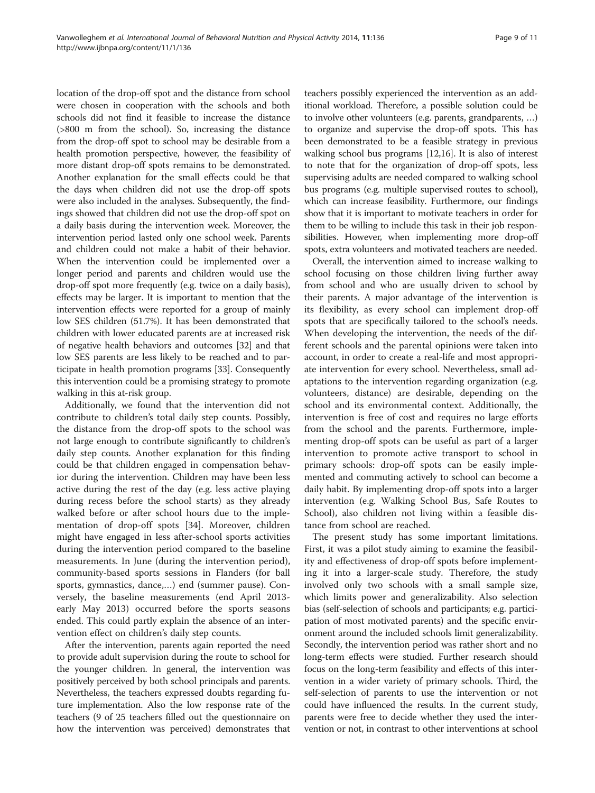location of the drop-off spot and the distance from school were chosen in cooperation with the schools and both schools did not find it feasible to increase the distance (>800 m from the school). So, increasing the distance from the drop-off spot to school may be desirable from a health promotion perspective, however, the feasibility of more distant drop-off spots remains to be demonstrated. Another explanation for the small effects could be that the days when children did not use the drop-off spots were also included in the analyses. Subsequently, the findings showed that children did not use the drop-off spot on a daily basis during the intervention week. Moreover, the intervention period lasted only one school week. Parents and children could not make a habit of their behavior. When the intervention could be implemented over a longer period and parents and children would use the drop-off spot more frequently (e.g. twice on a daily basis), effects may be larger. It is important to mention that the intervention effects were reported for a group of mainly low SES children (51.7%). It has been demonstrated that children with lower educated parents are at increased risk of negative health behaviors and outcomes [[32](#page-10-0)] and that low SES parents are less likely to be reached and to participate in health promotion programs [[33](#page-10-0)]. Consequently this intervention could be a promising strategy to promote walking in this at-risk group.

Additionally, we found that the intervention did not contribute to children's total daily step counts. Possibly, the distance from the drop-off spots to the school was not large enough to contribute significantly to children's daily step counts. Another explanation for this finding could be that children engaged in compensation behavior during the intervention. Children may have been less active during the rest of the day (e.g. less active playing during recess before the school starts) as they already walked before or after school hours due to the implementation of drop-off spots [\[34](#page-10-0)]. Moreover, children might have engaged in less after-school sports activities during the intervention period compared to the baseline measurements. In June (during the intervention period), community-based sports sessions in Flanders (for ball sports, gymnastics, dance,…) end (summer pause). Conversely, the baseline measurements (end April 2013 early May 2013) occurred before the sports seasons ended. This could partly explain the absence of an intervention effect on children's daily step counts.

After the intervention, parents again reported the need to provide adult supervision during the route to school for the younger children. In general, the intervention was positively perceived by both school principals and parents. Nevertheless, the teachers expressed doubts regarding future implementation. Also the low response rate of the teachers (9 of 25 teachers filled out the questionnaire on how the intervention was perceived) demonstrates that teachers possibly experienced the intervention as an additional workload. Therefore, a possible solution could be to involve other volunteers (e.g. parents, grandparents, …) to organize and supervise the drop-off spots. This has been demonstrated to be a feasible strategy in previous walking school bus programs [[12,16](#page-9-0)]. It is also of interest to note that for the organization of drop-off spots, less supervising adults are needed compared to walking school bus programs (e.g. multiple supervised routes to school), which can increase feasibility. Furthermore, our findings show that it is important to motivate teachers in order for them to be willing to include this task in their job responsibilities. However, when implementing more drop-off spots, extra volunteers and motivated teachers are needed.

Overall, the intervention aimed to increase walking to school focusing on those children living further away from school and who are usually driven to school by their parents. A major advantage of the intervention is its flexibility, as every school can implement drop-off spots that are specifically tailored to the school's needs. When developing the intervention, the needs of the different schools and the parental opinions were taken into account, in order to create a real-life and most appropriate intervention for every school. Nevertheless, small adaptations to the intervention regarding organization (e.g. volunteers, distance) are desirable, depending on the school and its environmental context. Additionally, the intervention is free of cost and requires no large efforts from the school and the parents. Furthermore, implementing drop-off spots can be useful as part of a larger intervention to promote active transport to school in primary schools: drop-off spots can be easily implemented and commuting actively to school can become a daily habit. By implementing drop-off spots into a larger intervention (e.g. Walking School Bus, Safe Routes to School), also children not living within a feasible distance from school are reached.

The present study has some important limitations. First, it was a pilot study aiming to examine the feasibility and effectiveness of drop-off spots before implementing it into a larger-scale study. Therefore, the study involved only two schools with a small sample size, which limits power and generalizability. Also selection bias (self-selection of schools and participants; e.g. participation of most motivated parents) and the specific environment around the included schools limit generalizability. Secondly, the intervention period was rather short and no long-term effects were studied. Further research should focus on the long-term feasibility and effects of this intervention in a wider variety of primary schools. Third, the self-selection of parents to use the intervention or not could have influenced the results. In the current study, parents were free to decide whether they used the intervention or not, in contrast to other interventions at school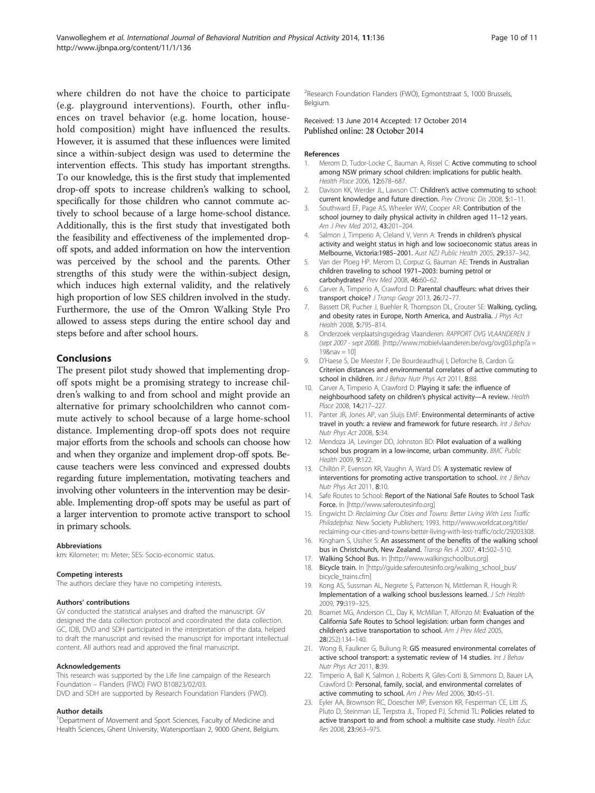<span id="page-9-0"></span>where children do not have the choice to participate (e.g. playground interventions). Fourth, other influences on travel behavior (e.g. home location, household composition) might have influenced the results. However, it is assumed that these influences were limited since a within-subject design was used to determine the intervention effects. This study has important strengths. To our knowledge, this is the first study that implemented drop-off spots to increase children's walking to school, specifically for those children who cannot commute actively to school because of a large home-school distance. Additionally, this is the first study that investigated both the feasibility and effectiveness of the implemented dropoff spots, and added information on how the intervention was perceived by the school and the parents. Other strengths of this study were the within-subject design, which induces high external validity, and the relatively high proportion of low SES children involved in the study. Furthermore, the use of the Omron Walking Style Pro allowed to assess steps during the entire school day and steps before and after school hours.

#### Conclusions

The present pilot study showed that implementing dropoff spots might be a promising strategy to increase children's walking to and from school and might provide an alternative for primary schoolchildren who cannot commute actively to school because of a large home-school distance. Implementing drop-off spots does not require major efforts from the schools and schools can choose how and when they organize and implement drop-off spots. Because teachers were less convinced and expressed doubts regarding future implementation, motivating teachers and involving other volunteers in the intervention may be desirable. Implementing drop-off spots may be useful as part of a larger intervention to promote active transport to school in primary schools.

#### Abbreviations

km: Kilometer; m: Meter; SES: Socio-economic status.

#### Competing interests

The authors declare they have no competing interests.

#### Authors' contributions

GV conducted the statistical analyses and drafted the manuscript. GV designed the data collection protocol and coordinated the data collection. GC, IDB, DVD and SDH participated in the interpretation of the data, helped to draft the manuscript and revised the manuscript for important intellectual content. All authors read and approved the final manuscript.

#### Acknowledgements

This research was supported by the Life line campaign of the Research Foundation – Flanders (FWO) FWO B10823/02/03. DVD and SDH are supported by Research Foundation Flanders (FWO).

#### Author details

<sup>1</sup>Department of Movement and Sport Sciences, Faculty of Medicine and Health Sciences, Ghent University, Watersportlaan 2, 9000 Ghent, Belgium.

<sup>2</sup>Research Foundation Flanders (FWO), Egmontstraat 5, 1000 Brussels Belgium.

#### Received: 13 June 2014 Accepted: 17 October 2014 Published online: 28 October 2014

#### References

- 1. Merom D, Tudor-Locke C, Bauman A, Rissel C: Active commuting to school among NSW primary school children: implications for public health. Health Place 2006, 12:678–687.
- 2. Davison KK, Werder JL, Lawson CT: Children's active commuting to school: current knowledge and future direction. Prev Chronic Dis 2008, 5:1–11.
- 3. Southward EF, Page AS, Wheeler WW, Cooper AR: Contribution of the school journey to daily physical activity in children aged 11–12 years. Am J Prev Med 2012, 43:201–204.
- 4. Salmon J, Timperio A, Cleland V, Venn A: Trends in children's physical activity and weight status in high and low socioeconomic status areas in Melbourne, Victoria:1985–2001. Aust NZJ Public Health 2005, 29:337–342.
- 5. Van der Ploeg HP, Merom D, Corpuz G, Bauman AE: Trends in Australian children traveling to school 1971–2003: burning petrol or carbohydrates? Prev Med 2008, 46:60–62.
- 6. Carver A, Timperio A, Crawford D: Parental chauffeurs: what drives their transport choice? J Transp Geogr 2013, 26:72-77.
- 7. Bassett DR, Pucher J, Buehler R, Thompson DL, Crouter SE: Walking, cycling, and obesity rates in Europe, North America, and Australia. J Phys Act Health 2008, 5:795–814.
- 8. Onderzoek verplaatsingsgedrag Vlaanderen: RAPPORT OVG VLAANDEREN 3 (sept 2007 - sept 2008). [[http://www.mobielvlaanderen.be/ovg/ovg03.php?a =](http://www.mobielvlaanderen.be/ovg/ovg03.php?a=19&nav=10) [19&nav = 10\]](http://www.mobielvlaanderen.be/ovg/ovg03.php?a=19&nav=10)
- 9. D'Haese S, De Meester F, De Bourdeaudhuij I, Deforche B, Cardon G: Criterion distances and environmental correlates of active commuting to school in children. Int J Behav Nutr Phys Act 2011, 8:88.
- 10. Carver A, Timperio A, Crawford D: Playing it safe: the influence of neighbourhood safety on children's physical activity—A review. Health Place 2008, 14:217–227.
- 11. Panter JR, Jones AP, van Sluijs EMF: Environmental determinants of active travel in youth: a review and framework for future research. Int J Behav Nutr Phys Act 2008, 5:34.
- 12. Mendoza JA, Levinger DD, Johnston BD: Pilot evaluation of a walking school bus program in a low-income, urban community. BMC Public Health 2009, 9:122.
- 13. Chillón P, Evenson KR, Vaughn A, Ward DS: A systematic review of interventions for promoting active transportation to school. Int J Behav Nutr Phys Act 2011, 8:10.
- 14. Safe Routes to School: Report of the National Safe Routes to School Task Force. In [[http://www.saferoutesinfo.org\]](http://www.saferoutesinfo.org)
- 15. Engwicht D: Reclaiming Our Cities and Towns: Better Living With Less Traffic Philadelphia. New Society Publishers; 1993. [http://www.worldcat.org/title/](http://www.worldcat.org/title/reclaiming-our-cities-and-towns-better-living-with-less-traffic/oclc/29203308) [reclaiming-our-cities-and-towns-better-living-with-less-traffic/oclc/29203308.](http://www.worldcat.org/title/reclaiming-our-cities-and-towns-better-living-with-less-traffic/oclc/29203308)
- 16. Kingham S, Ussher S: An assessment of the benefits of the walking school bus in Christchurch, New Zealand. Transp Res A 2007, 41:502–510.
- 17. Walking School Bus. In [\[http://www.walkingschoolbus.org](http://www.walkingschoolbus.org)] 18. Bicycle train. In [[http://guide.saferoutesinfo.org/walking\\_school\\_bus/](http://guide.saferoutesinfo.org/walking_school_bus/bicycle_trains.cfm)
- [bicycle\\_trains.cfm](http://guide.saferoutesinfo.org/walking_school_bus/bicycle_trains.cfm)] 19. Kong AS, Sussman AL, Negrete S, Patterson N, Mittleman R, Hough R:
- Implementation of a walking school bus:lessons learned. J Sch Health 2009, 79:319–325.
- 20. Boarnet MG, Anderson CL, Day K, McMillan T, Alfonzo M: Evaluation of the California Safe Routes to School legislation: urban form changes and children's active transportation to school. Am J Prev Med 2005, 28(2S2):134–140.
- 21. Wong B, Faulkner G, Buliung R: GIS measured environmental correlates of active school transport: a systematic review of 14 studies. Int J Behav Nutr Phys Act 2011, 8:39.
- 22. Timperio A, Ball K, Salmon J, Roberts R, Giles-Corti B, Simmons D, Bauer LA, Crawford D: Personal, family, social, and environmental correlates of active commuting to school. Am J Prev Med 2006, 30:45–51.
- 23. Eyler AA, Brownson RC, Doescher MP, Evenson KR, Fesperman CE, Litt JS, Pluto D, Steinman LE, Terpstra JL, Troped PJ, Schmid TL: Policies related to active transport to and from school: a multisite case study. Health Educ Res 2008, 23:963–975.